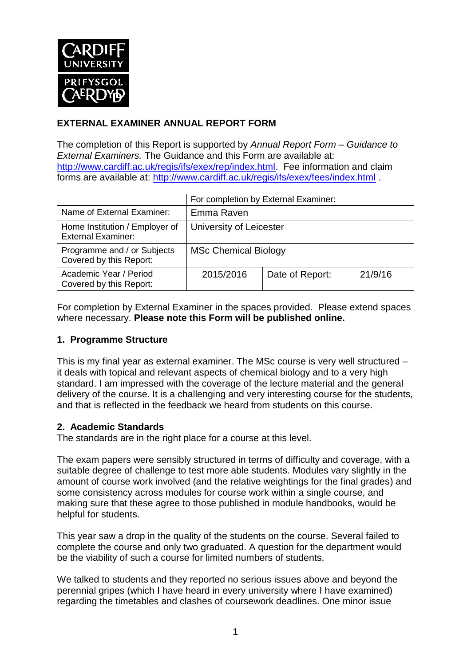

## **EXTERNAL EXAMINER ANNUAL REPORT FORM**

The completion of this Report is supported by *Annual Report Form – Guidance to External Examiners.* The Guidance and this Form are available at: [http://www.cardiff.ac.uk/regis/ifs/exex/rep/index.html.](http://www.cardiff.ac.uk/regis/ifs/exex/rep/index.html) Fee information and claim forms are available at:<http://www.cardiff.ac.uk/regis/ifs/exex/fees/index.html> .

|                                                             | For completion by External Examiner: |                 |         |  |
|-------------------------------------------------------------|--------------------------------------|-----------------|---------|--|
| Name of External Examiner:                                  | Emma Raven                           |                 |         |  |
| Home Institution / Employer of<br><b>External Examiner:</b> | University of Leicester              |                 |         |  |
| Programme and / or Subjects<br>Covered by this Report:      | <b>MSc Chemical Biology</b>          |                 |         |  |
| Academic Year / Period<br>Covered by this Report:           | 2015/2016                            | Date of Report: | 21/9/16 |  |

For completion by External Examiner in the spaces provided. Please extend spaces where necessary. **Please note this Form will be published online.**

### **1. Programme Structure**

This is my final year as external examiner. The MSc course is very well structured – it deals with topical and relevant aspects of chemical biology and to a very high standard. I am impressed with the coverage of the lecture material and the general delivery of the course. It is a challenging and very interesting course for the students, and that is reflected in the feedback we heard from students on this course.

### **2. Academic Standards**

The standards are in the right place for a course at this level.

The exam papers were sensibly structured in terms of difficulty and coverage, with a suitable degree of challenge to test more able students. Modules vary slightly in the amount of course work involved (and the relative weightings for the final grades) and some consistency across modules for course work within a single course, and making sure that these agree to those published in module handbooks, would be helpful for students.

This year saw a drop in the quality of the students on the course. Several failed to complete the course and only two graduated. A question for the department would be the viability of such a course for limited numbers of students.

We talked to students and they reported no serious issues above and beyond the perennial gripes (which I have heard in every university where I have examined) regarding the timetables and clashes of coursework deadlines. One minor issue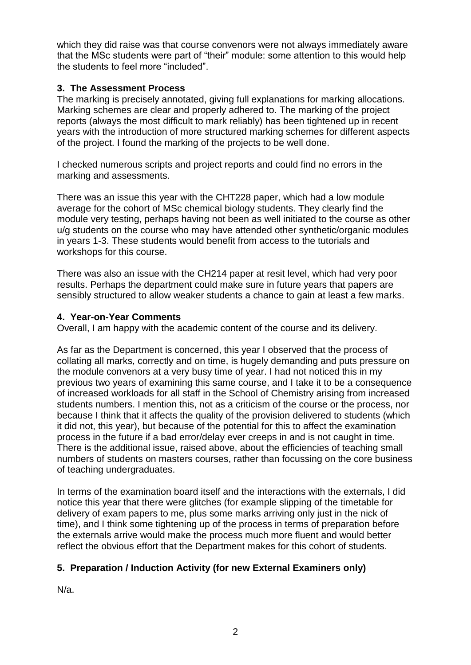which they did raise was that course convenors were not always immediately aware that the MSc students were part of "their" module: some attention to this would help the students to feel more "included".

### **3. The Assessment Process**

The marking is precisely annotated, giving full explanations for marking allocations. Marking schemes are clear and properly adhered to. The marking of the project reports (always the most difficult to mark reliably) has been tightened up in recent years with the introduction of more structured marking schemes for different aspects of the project. I found the marking of the projects to be well done.

I checked numerous scripts and project reports and could find no errors in the marking and assessments.

There was an issue this year with the CHT228 paper, which had a low module average for the cohort of MSc chemical biology students. They clearly find the module very testing, perhaps having not been as well initiated to the course as other u/g students on the course who may have attended other synthetic/organic modules in years 1-3. These students would benefit from access to the tutorials and workshops for this course.

There was also an issue with the CH214 paper at resit level, which had very poor results. Perhaps the department could make sure in future years that papers are sensibly structured to allow weaker students a chance to gain at least a few marks.

### **4. Year-on-Year Comments**

Overall, I am happy with the academic content of the course and its delivery.

As far as the Department is concerned, this year I observed that the process of collating all marks, correctly and on time, is hugely demanding and puts pressure on the module convenors at a very busy time of year. I had not noticed this in my previous two years of examining this same course, and I take it to be a consequence of increased workloads for all staff in the School of Chemistry arising from increased students numbers. I mention this, not as a criticism of the course or the process, nor because I think that it affects the quality of the provision delivered to students (which it did not, this year), but because of the potential for this to affect the examination process in the future if a bad error/delay ever creeps in and is not caught in time. There is the additional issue, raised above, about the efficiencies of teaching small numbers of students on masters courses, rather than focussing on the core business of teaching undergraduates.

In terms of the examination board itself and the interactions with the externals, I did notice this year that there were glitches (for example slipping of the timetable for delivery of exam papers to me, plus some marks arriving only just in the nick of time), and I think some tightening up of the process in terms of preparation before the externals arrive would make the process much more fluent and would better reflect the obvious effort that the Department makes for this cohort of students.

## **5. Preparation / Induction Activity (for new External Examiners only)**

N/a.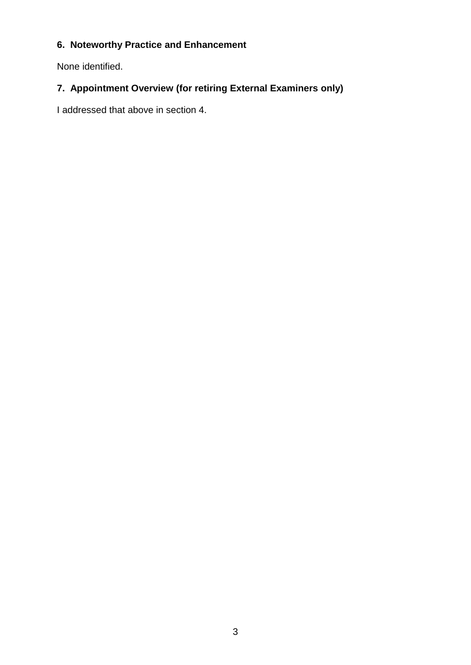# **6. Noteworthy Practice and Enhancement**

None identified.

# **7. Appointment Overview (for retiring External Examiners only)**

I addressed that above in section 4.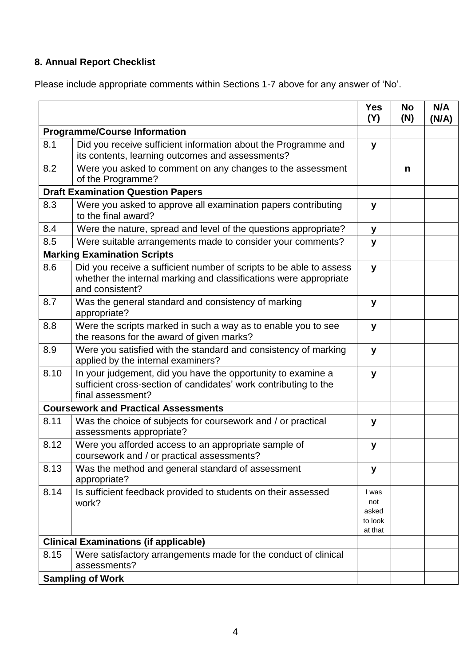# **8. Annual Report Checklist**

Please include appropriate comments within Sections 1-7 above for any answer of 'No'.

|                                              |                                                                                                                                                             | <b>Yes</b><br>(Y)                           | <b>No</b><br>(N) | N/A<br>(N/A) |
|----------------------------------------------|-------------------------------------------------------------------------------------------------------------------------------------------------------------|---------------------------------------------|------------------|--------------|
| <b>Programme/Course Information</b>          |                                                                                                                                                             |                                             |                  |              |
| 8.1                                          | Did you receive sufficient information about the Programme and<br>its contents, learning outcomes and assessments?                                          | y                                           |                  |              |
| 8.2                                          | Were you asked to comment on any changes to the assessment<br>of the Programme?                                                                             |                                             | n                |              |
| <b>Draft Examination Question Papers</b>     |                                                                                                                                                             |                                             |                  |              |
| 8.3                                          | Were you asked to approve all examination papers contributing<br>to the final award?                                                                        | y                                           |                  |              |
| 8.4                                          | Were the nature, spread and level of the questions appropriate?                                                                                             | У                                           |                  |              |
| 8.5                                          | Were suitable arrangements made to consider your comments?                                                                                                  | y                                           |                  |              |
|                                              | <b>Marking Examination Scripts</b>                                                                                                                          |                                             |                  |              |
| 8.6                                          | Did you receive a sufficient number of scripts to be able to assess<br>whether the internal marking and classifications were appropriate<br>and consistent? | y                                           |                  |              |
| 8.7                                          | Was the general standard and consistency of marking<br>appropriate?                                                                                         | y                                           |                  |              |
| 8.8                                          | Were the scripts marked in such a way as to enable you to see<br>the reasons for the award of given marks?                                                  | У                                           |                  |              |
| 8.9                                          | Were you satisfied with the standard and consistency of marking<br>applied by the internal examiners?                                                       | y                                           |                  |              |
| 8.10                                         | In your judgement, did you have the opportunity to examine a<br>sufficient cross-section of candidates' work contributing to the<br>final assessment?       | y                                           |                  |              |
|                                              | <b>Coursework and Practical Assessments</b>                                                                                                                 |                                             |                  |              |
| 8.11                                         | Was the choice of subjects for coursework and / or practical<br>assessments appropriate?                                                                    | y                                           |                  |              |
| 8.12                                         | Were you afforded access to an appropriate sample of<br>coursework and / or practical assessments?                                                          | y                                           |                  |              |
| 8.13                                         | Was the method and general standard of assessment<br>appropriate?                                                                                           | У                                           |                  |              |
| 8.14                                         | Is sufficient feedback provided to students on their assessed<br>work?                                                                                      | I was<br>not<br>asked<br>to look<br>at that |                  |              |
| <b>Clinical Examinations (if applicable)</b> |                                                                                                                                                             |                                             |                  |              |
| 8.15                                         | Were satisfactory arrangements made for the conduct of clinical<br>assessments?                                                                             |                                             |                  |              |
|                                              | <b>Sampling of Work</b>                                                                                                                                     |                                             |                  |              |